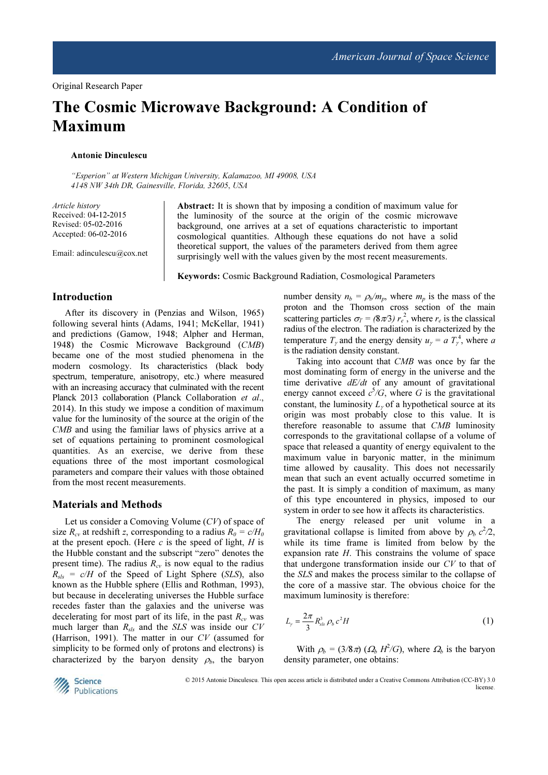# The Cosmic Microwave Background: A Condition of Maximum

### Antonie Dinculescu

"Esperion" at Western Michigan University, Kalamazoo, MI 49008, USA 4148 NW 34th DR, Gainesville, Florida, 32605, USA

Article history Received: 04-12-2015 Revised: 05-02-2016 Accepted: 06-02-2016

Email: adinculescu@cox.net

Abstract: It is shown that by imposing a condition of maximum value for the luminosity of the source at the origin of the cosmic microwave background, one arrives at a set of equations characteristic to important cosmological quantities. Although these equations do not have a solid theoretical support, the values of the parameters derived from them agree surprisingly well with the values given by the most recent measurements.

Keywords: Cosmic Background Radiation, Cosmological Parameters

## Introduction

After its discovery in (Penzias and Wilson, 1965) following several hints (Adams, 1941; McKellar, 1941) and predictions (Gamow, 1948; Alpher and Herman, 1948) the Cosmic Microwave Background (CMB) became one of the most studied phenomena in the modern cosmology. Its characteristics (black body spectrum, temperature, anisotropy, etc.) where measured with an increasing accuracy that culminated with the recent Planck 2013 collaboration (Planck Collaboration et al., 2014). In this study we impose a condition of maximum value for the luminosity of the source at the origin of the CMB and using the familiar laws of physics arrive at a set of equations pertaining to prominent cosmological quantities. As an exercise, we derive from these equations three of the most important cosmological parameters and compare their values with those obtained from the most recent measurements.

#### Materials and Methods

Let us consider a Comoving Volume (CV) of space of size  $R_{cv}$  at redshift z, corresponding to a radius  $R_0 = c/H_0$ at the present epoch. (Here  $c$  is the speed of light,  $H$  is the Hubble constant and the subscript "zero" denotes the present time). The radius  $R_{cv}$  is now equal to the radius  $R_{sls} = c/H$  of the Speed of Light Sphere (SLS), also known as the Hubble sphere (Ellis and Rothman, 1993), but because in decelerating universes the Hubble surface recedes faster than the galaxies and the universe was decelerating for most part of its life, in the past  $R_{cv}$  was much larger than  $R_{sls}$  and the SLS was inside our CV (Harrison, 1991). The matter in our CV (assumed for simplicity to be formed only of protons and electrons) is characterized by the baryon density  $\rho_b$ , the baryon number density  $n_b = \rho_b/m_p$ , where  $m_p$  is the mass of the proton and the Thomson cross section of the main scattering particles  $\sigma_T = (8\pi/3) r_e^2$ , where  $r_e$  is the classical radius of the electron. The radiation is characterized by the temperature  $T_{\gamma}$  and the energy density  $u_{\gamma} = a T_{\gamma}^4$ , where a is the radiation density constant.

Taking into account that CMB was once by far the most dominating form of energy in the universe and the time derivative  $dE/dt$  of any amount of gravitational energy cannot exceed  $c^5/G$ , where G is the gravitational constant, the luminosity  $L_{\gamma}$  of a hypothetical source at its origin was most probably close to this value. It is therefore reasonable to assume that CMB luminosity corresponds to the gravitational collapse of a volume of space that released a quantity of energy equivalent to the maximum value in baryonic matter, in the minimum time allowed by causality. This does not necessarily mean that such an event actually occurred sometime in the past. It is simply a condition of maximum, as many of this type encountered in physics, imposed to our system in order to see how it affects its characteristics.

The energy released per unit volume in a gravitational collapse is limited from above by  $\rho_b c^2/2$ , while its time frame is limited from below by the expansion rate H. This constrains the volume of space that undergone transformation inside our CV to that of the SLS and makes the process similar to the collapse of the core of a massive star. The obvious choice for the maximum luminosity is therefore:

$$
L_{\gamma} = \frac{2\pi}{3} R_{\rm sls}^3 \rho_b c^2 H \tag{1}
$$

With  $\rho_b = (3/8\pi) ( \Omega_b H^2/G)$ , where  $\Omega_b$  is the baryon density parameter, one obtains:



© 2015 Antonie Dinculescu. This open access article is distributed under a Creative Commons Attribution (CC-BY) 3.0 license.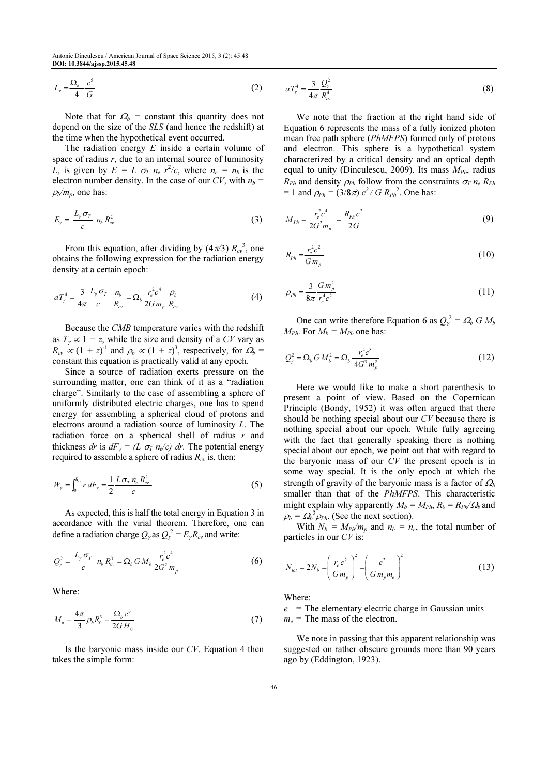$$
L_{\gamma} = \frac{\Omega_b}{4} \frac{c^5}{G} \tag{2} \qquad aT_{\gamma}^4 = \frac{3}{4\pi} \frac{Q_{\gamma}^2}{R_{\gamma}^4}
$$

Note that for  $\Omega_b$  = constant this quantity does not depend on the size of the SLS (and hence the redshift) at the time when the hypothetical event occurred.

The radiation energy  $E$  inside a certain volume of space of radius  $r$ , due to an internal source of luminosity L, is given by  $E = L \sigma_T n_e r^2/c$ , where  $n_e = n_b$  is the electron number density. In the case of our CV, with  $n_b$  =  $\rho_b/m_p$ , one has:

$$
E_{\gamma} = \frac{L_{\gamma} \sigma_T}{c} n_b R_{cv}^2
$$
 (3)

From this equation, after dividing by  $(4\pi/3) R_{cv}^3$ , one obtains the following expression for the radiation energy density at a certain epoch:

$$
aT_{\gamma}^{4} = \frac{3}{4\pi} \frac{L_{\gamma} \sigma_{T}}{c} \frac{n_{b}}{R_{c}} = \Omega_{b} \frac{r_{e}^{2} c^{4}}{2G m_{p}} \frac{\rho_{b}}{R_{c}} \tag{4}
$$

Because the CMB temperature varies with the redshift as  $T_\gamma \propto 1 + z$ , while the size and density of a CV vary as  $R_{cv} \propto (1 + z)^{-1}$  and  $\rho_b \propto (1 + z)^3$ , respectively, for  $\Omega_b$  = constant this equation is practically valid at any epoch.

Since a source of radiation exerts pressure on the surrounding matter, one can think of it as a "radiation charge". Similarly to the case of assembling a sphere of uniformly distributed electric charges, one has to spend energy for assembling a spherical cloud of protons and electrons around a radiation source of luminosity L. The radiation force on a spherical shell of radius  $r$  and thickness dr is  $dF_\gamma = (L \sigma_T n_e/c) dr$ . The potential energy required to assemble a sphere of radius  $R_{cv}$  is, then:

$$
W_{\gamma} = \int_0^{R_{cr}} r \, dF_{\gamma} = \frac{1}{2} \frac{L \, \sigma_T \, n_e \, R_{cr}^2}{c} \tag{5}
$$

As expected, this is half the total energy in Equation 3 in accordance with the virial theorem. Therefore, one can define a radiation charge  $Q_{\gamma}$  as  $Q_{\gamma}^2 = E_{\gamma} R_{cv}$  and write:

$$
Q_{\gamma}^{2} = \frac{L_{\gamma} \sigma_{T}}{c} n_{b} R_{c}^{3} = \Omega_{b} G M_{b} \frac{r_{e}^{2} c^{4}}{2G^{2} m_{p}}
$$
(6)

Where:

$$
M_b = \frac{4\pi}{3} \rho_b R_0^3 = \frac{\Omega_b c^3}{2G H_0}
$$
 (7)

Is the baryonic mass inside our  $CV$ . Equation 4 then takes the simple form:

$$
aT_{\gamma}^4 = \frac{3}{4\pi} \frac{Q_{\gamma}^2}{R_{\alpha\gamma}^4} \tag{8}
$$

We note that the fraction at the right hand side of Equation 6 represents the mass of a fully ionized photon mean free path sphere (PhMFPS) formed only of protons and electron. This sphere is a hypothetical system characterized by a critical density and an optical depth equal to unity (Dinculescu, 2009). Its mass  $M_{Ph}$ , radius  $R_{Ph}$  and density  $\rho_{Ph}$  follow from the constraints  $\sigma_T n_e R_{Ph}$ = 1 and  $\rho_{Ph} = (3/8\pi) c^2/G R_{Ph}^2$ . One has:

$$
M_{Ph} = \frac{r_e^2 c^4}{2G^2 m_p} = \frac{R_{Ph} c^2}{2G} \tag{9}
$$

$$
R_{p_h} = \frac{r_e^2 c^2}{G m_p}
$$
 (10)

$$
\rho_{Ph} = \frac{3}{8\pi} \frac{Gm_p^2}{r_e^4 c^2} \tag{11}
$$

One can write therefore Equation 6 as  $Q_{\gamma}^2 = \Omega_b G M_b$  $M_{Ph}$ . For  $M_b = M_{Ph}$  one has:

$$
Q_{\gamma}^{2} = \Omega_{b} G M_{b}^{2} = \Omega_{b} \frac{r_{e}^{4} c^{8}}{4G^{3} m_{p}^{2}}
$$
 (12)

Here we would like to make a short parenthesis to present a point of view. Based on the Copernican Principle (Bondy, 1952) it was often argued that there should be nothing special about our CV because there is nothing special about our epoch. While fully agreeing with the fact that generally speaking there is nothing special about our epoch, we point out that with regard to the baryonic mass of our CV the present epoch is in some way special. It is the only epoch at which the strength of gravity of the baryonic mass is a factor of  $\Omega_b$ smaller than that of the PhMFPS. This characteristic might explain why apparently  $M_b = M_{Ph}$ ,  $R_0 = R_{Ph}/\Omega_b$  and  $\rho_b = \Omega_b^3 \rho_{Ph}$ . (See the next section).

With  $N_b = M_{Pl}/m_p$  and  $n_b = n_e$ , the total number of particles in our  $CV$  is:

$$
N_{tot} = 2N_b = \left(\frac{r_e c^2}{Gm_p}\right)^2 = \left(\frac{e^2}{Gm_p m_e}\right)^2
$$
 (13)

Where:

 $e$  = The elementary electric charge in Gaussian units  $m_e$  = The mass of the electron.

We note in passing that this apparent relationship was suggested on rather obscure grounds more than 90 years ago by (Eddington, 1923).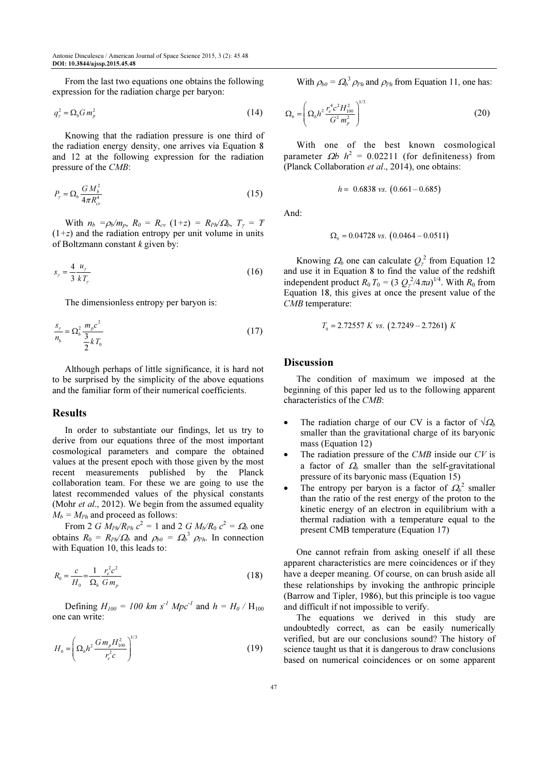From the last two equations one obtains the following expression for the radiation charge per baryon:

$$
q_{\gamma}^{2} = \Omega_{b} G m_{p}^{2} \tag{14}
$$

Knowing that the radiation pressure is one third of the radiation energy density, one arrives via Equation 8 and 12 at the following expression for the radiation pressure of the CMB:

$$
P_{\gamma} = \Omega_b \frac{GM_b^2}{4\pi R_{cv}^4} \tag{15}
$$

With  $n_b = \rho_b/m_p$ ,  $R_0 = R_{cv} (1+z) = R_{ph}/\Omega_b$ ,  $T_\gamma = T$  $(1+z)$  and the radiation entropy per unit volume in units of Boltzmann constant  $k$  given by:

$$
s_{\gamma} = \frac{4}{3} \frac{u_{\gamma}}{kT_{\gamma}}
$$
 (16)

The dimensionless entropy per baryon is:

$$
\frac{s_{\gamma}}{n_b} = \Omega_b^2 \frac{m_p c^2}{\frac{3}{2} k T_0}
$$
\n(17)

Although perhaps of little significance, it is hard not to be surprised by the simplicity of the above equations and the familiar form of their numerical coefficients.

#### Results

In order to substantiate our findings, let us try to derive from our equations three of the most important cosmological parameters and compare the obtained values at the present epoch with those given by the most recent measurements published by the Planck collaboration team. For these we are going to use the latest recommended values of the physical constants (Mohr et al., 2012). We begin from the assumed equality  $M_b = M_{Ph}$  and proceed as follows:

From 2 *G*  $M_{Pl}/R_{Ph} c^2 = 1$  and 2 *G M<sub>b</sub>*/ $R_0 c^2 = \Omega_b$  one obtains  $R_0 = R_{ph}/\Omega_b$  and  $\rho_{b0} = \Omega_b^3$   $\rho_{ph}$ . In connection with Equation 10, this leads to:

$$
R_0 = \frac{c}{H_0} = \frac{1}{\Omega_b} \frac{r_e^2 c^2}{G m_p}
$$
 (18)

Defining  $H_{100} = 100$  km s<sup>-1</sup> Mpc<sup>-1</sup> and h = H<sub>0</sub> / H<sub>100</sub> one can write:

$$
H_0 = \left(\Omega_b h^2 \frac{G m_p H_{100}^2}{r_e^2 c}\right)^{1/3} \tag{19}
$$

With  $\rho_{b0} = \Omega_b^3 \rho_{Ph}$  and  $\rho_{Ph}$  from Equation 11, one has:

$$
\Omega_b = \left(\Omega_b h^2 \frac{r_e^4 c^2 H_{100}^2}{G^2 m_p^2}\right)^{1/3} \tag{20}
$$

With one of the best known cosmological parameter  $\Omega b$   $h^2 = 0.02211$  (for definiteness) from (Planck Collaboration et al., 2014), one obtains:

$$
h = 0.6838 \text{ vs. } (0.661 - 0.685)
$$

And:

$$
\Omega_b = 0.04728 \text{ vs. } (0.0464 - 0.0511)
$$

Knowing  $\Omega_b$  one can calculate  $Q_{\gamma}^2$  from Equation 12 and use it in Equation 8 to find the value of the redshift independent product  $R_0 T_0 = (3 Q_\gamma^2 / 4 \pi a)^{1/4}$ . With  $R_0$  from Equation 18, this gives at once the present value of the CMB temperature:

$$
T_0 = 2.72557 \, K \, vs. \, (2.7249 - 2.7261) \, K
$$

#### **Discussion**

The condition of maximum we imposed at the beginning of this paper led us to the following apparent characteristics of the CMB:

- The radiation charge of our CV is a factor of  $\sqrt{\Omega_b}$ smaller than the gravitational charge of its baryonic mass (Equation 12)
- The radiation pressure of the  $CMB$  inside our  $CV$  is a factor of  $\Omega_b$  smaller than the self-gravitational pressure of its baryonic mass (Equation 15)
- The entropy per baryon is a factor of  $\Omega_b^2$  smaller than the ratio of the rest energy of the proton to the kinetic energy of an electron in equilibrium with a thermal radiation with a temperature equal to the present CMB temperature (Equation 17)

One cannot refrain from asking oneself if all these apparent characteristics are mere coincidences or if they have a deeper meaning. Of course, on can brush aside all these relationships by invoking the anthropic principle (Barrow and Tipler, 1986), but this principle is too vague and difficult if not impossible to verify.

The equations we derived in this study are undoubtedly correct, as can be easily numerically verified, but are our conclusions sound? The history of science taught us that it is dangerous to draw conclusions based on numerical coincidences or on some apparent